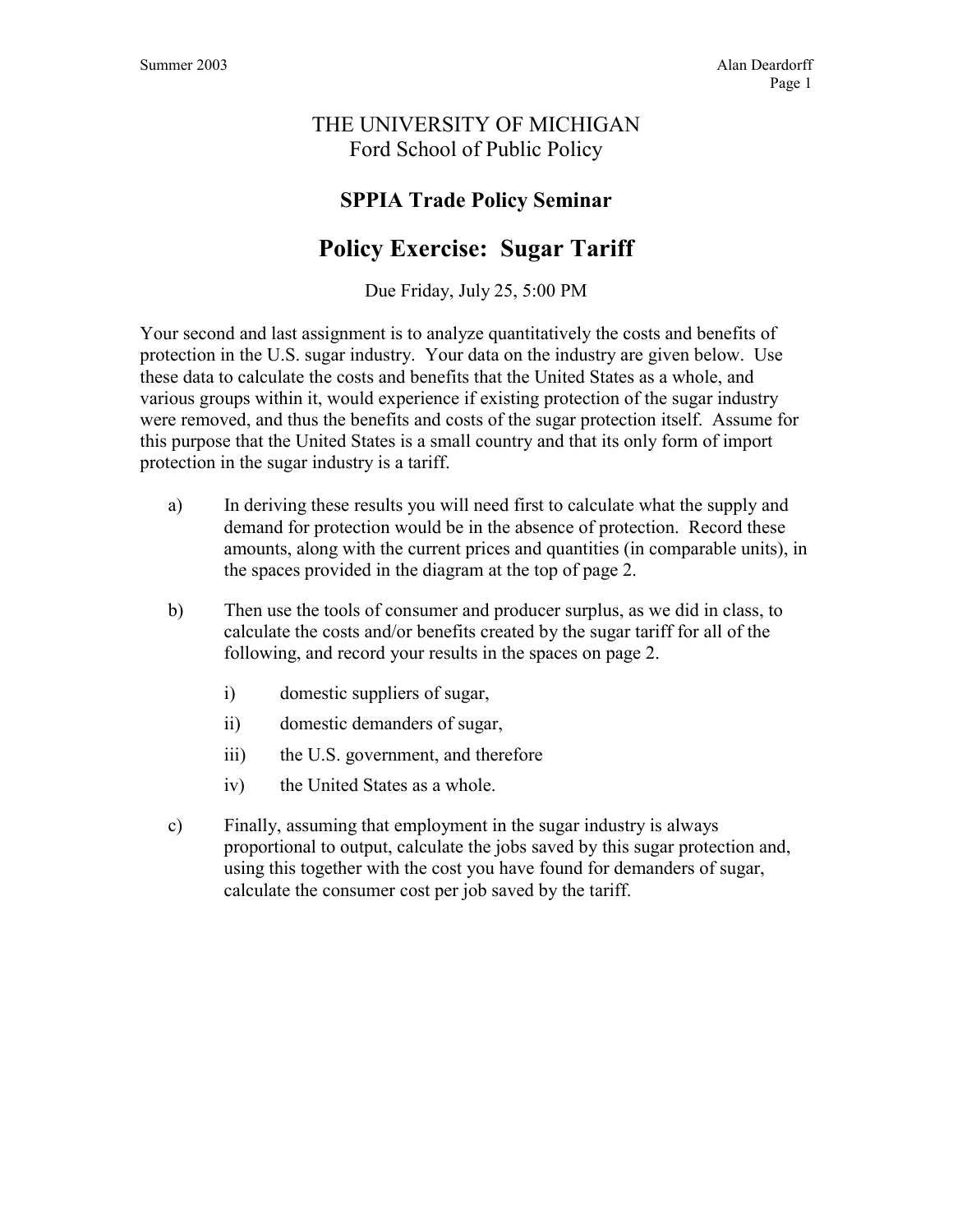## THE UNIVERSITY OF MICHIGAN Ford School of Public Policy

## **SPPIA Trade Policy Seminar**

# **Policy Exercise: Sugar Tariff**

Due Friday, July 25, 5:00 PM

Your second and last assignment is to analyze quantitatively the costs and benefits of protection in the U.S. sugar industry. Your data on the industry are given below. Use these data to calculate the costs and benefits that the United States as a whole, and various groups within it, would experience if existing protection of the sugar industry were removed, and thus the benefits and costs of the sugar protection itself. Assume for this purpose that the United States is a small country and that its only form of import protection in the sugar industry is a tariff.

- a) In deriving these results you will need first to calculate what the supply and demand for protection would be in the absence of protection. Record these amounts, along with the current prices and quantities (in comparable units), in the spaces provided in the diagram at the top of page 2.
- b) Then use the tools of consumer and producer surplus, as we did in class, to calculate the costs and/or benefits created by the sugar tariff for all of the following, and record your results in the spaces on page 2.
	- i) domestic suppliers of sugar,
	- ii) domestic demanders of sugar,
	- iii) the U.S. government, and therefore
	- iv) the United States as a whole.
- c) Finally, assuming that employment in the sugar industry is always proportional to output, calculate the jobs saved by this sugar protection and, using this together with the cost you have found for demanders of sugar, calculate the consumer cost per job saved by the tariff.